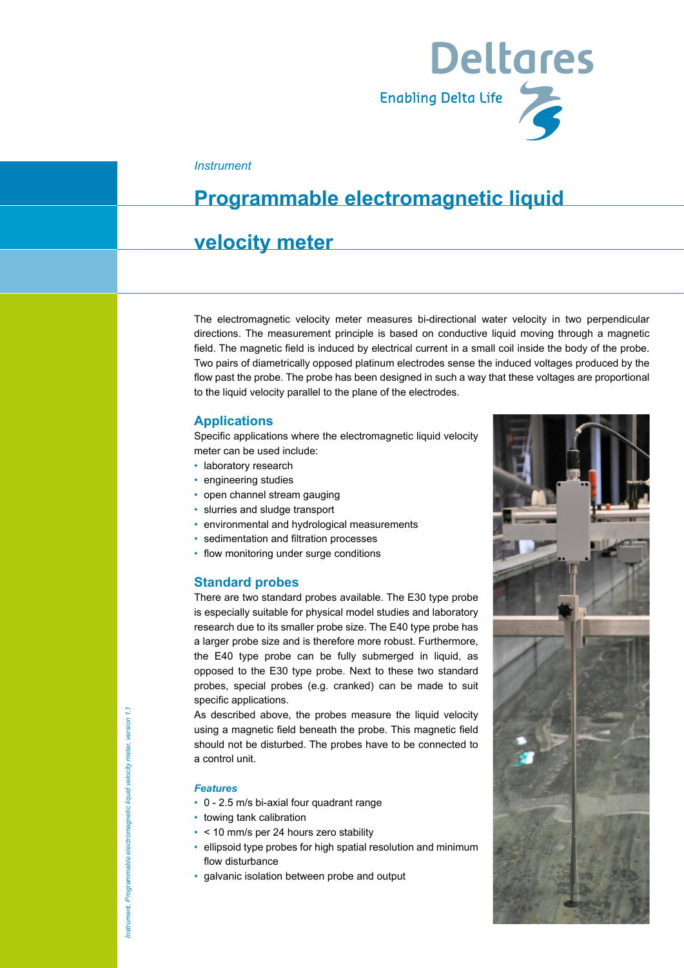

#### *Instrument*

## **Programmable electromagnetic liquid**

### **velocity meter**

The electromagnetic velocity meter measures bi-directional water velocity in two perpendicular directions. The measurement principle is based on conductive liquid moving through a magnetic field. The magnetic field is induced by electrical current in a small coil inside the body of the probe. Two pairs of diametrically opposed platinum electrodes sense the induced voltages produced by the flow past the probe. The probe has been designed in such a way that these voltages are proportional to the liquid velocity parallel to the plane of the electrodes.

#### **Applications**

Specific applications where the electromagnetic liquid velocity meter can be used include:

- laboratory research
- engineering studies
- open channel stream gauging
- slurries and sludge transport
- environmental and hydrological measurements
- sedimentation and filtration processes
- flow monitoring under surge conditions

#### **Standard probes**

There are two standard probes available. The E30 type probe is especially suitable for physical model studies and laboratory research due to its smaller probe size. The E40 type probe has a larger probe size and is therefore more robust. Furthermore, the E40 type probe can be fully submerged in liquid, as opposed to the E30 type probe. Next to these two standard probes, special probes (e.g. cranked) can be made to suit specific applications.

As described above, the probes measure the liquid velocity using a magnetic field beneath the probe. This magnetic field should not be disturbed. The probes have to be connected to a control unit.

#### *Features*

- 0 2.5 m/s bi-axial four quadrant range
- towing tank calibration
- < 10 mm/s per 24 hours zero stability
- ellipsoid type probes for high spatial resolution and minimum flow disturbance
- galvanic isolation between probe and output